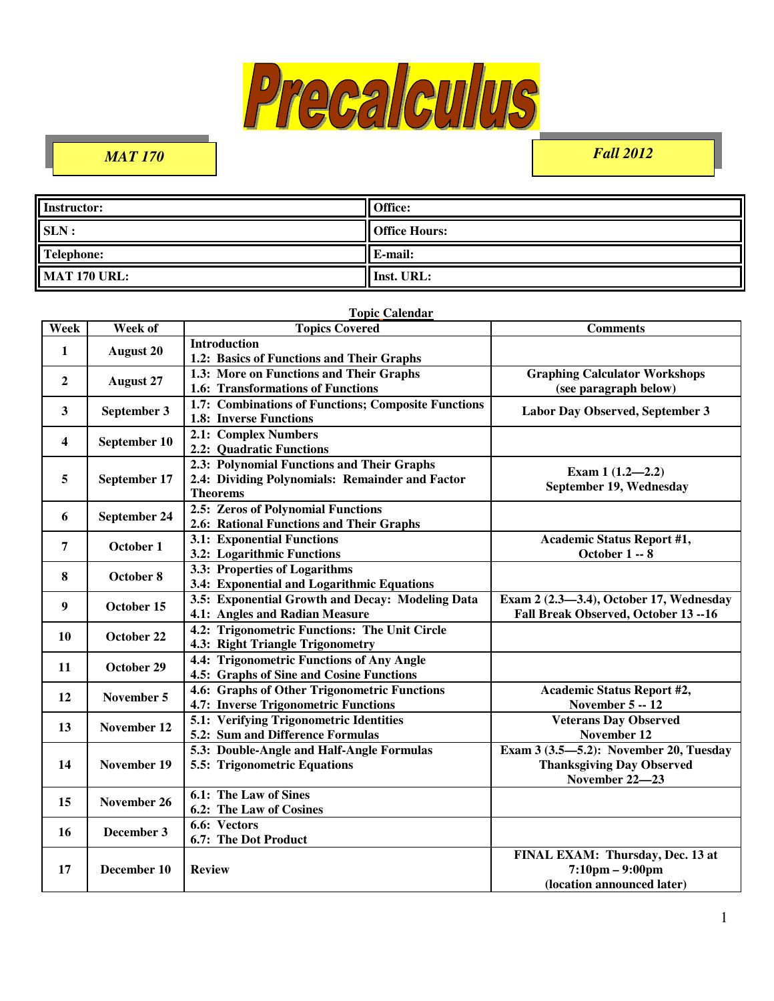

 $\overline{a}$ 

# *MAT 170 Fall 2012*

| Instructor:         | <b>Office:</b>       |
|---------------------|----------------------|
| SLN:                | <b>Office Hours:</b> |
| <b>Telephone:</b>   | E-mail:              |
| <b>MAT 170 URL:</b> | Inst. URL:           |

#### **Topic Calendar**

| Week                    | Week of            | <b>Topics Covered</b>                                                                                            | <b>Comments</b>                                                                                     |
|-------------------------|--------------------|------------------------------------------------------------------------------------------------------------------|-----------------------------------------------------------------------------------------------------|
| 1                       | <b>August 20</b>   | <b>Introduction</b><br>1.2: Basics of Functions and Their Graphs                                                 |                                                                                                     |
| $\boldsymbol{2}$        | <b>August 27</b>   | 1.3: More on Functions and Their Graphs<br>1.6: Transformations of Functions                                     | <b>Graphing Calculator Workshops</b><br>(see paragraph below)                                       |
| 3                       | September 3        | 1.7: Combinations of Functions; Composite Functions<br>1.8: Inverse Functions                                    | Labor Day Observed, September 3                                                                     |
| $\overline{\mathbf{4}}$ | September 10       | 2.1: Complex Numbers<br>2.2: Quadratic Functions                                                                 |                                                                                                     |
| 5                       | September 17       | 2.3: Polynomial Functions and Their Graphs<br>2.4: Dividing Polynomials: Remainder and Factor<br><b>Theorems</b> | Exam $1(1.2-2.2)$<br>September 19, Wednesday                                                        |
| 6                       | September 24       | 2.5: Zeros of Polynomial Functions<br>2.6: Rational Functions and Their Graphs                                   |                                                                                                     |
| 7                       | October 1          | <b>3.1: Exponential Functions</b><br>3.2: Logarithmic Functions                                                  | <b>Academic Status Report #1,</b><br><b>October 1 -- 8</b>                                          |
| 8                       | October 8          | 3.3: Properties of Logarithms<br>3.4: Exponential and Logarithmic Equations                                      |                                                                                                     |
| 9                       | October 15         | 3.5: Exponential Growth and Decay: Modeling Data<br>4.1: Angles and Radian Measure                               | Exam 2 (2.3-3.4), October 17, Wednesday<br>Fall Break Observed, October 13 -- 16                    |
| 10                      | October 22         | 4.2: Trigonometric Functions: The Unit Circle<br>4.3: Right Triangle Trigonometry                                |                                                                                                     |
| 11                      | October 29         | 4.4: Trigonometric Functions of Any Angle<br>4.5: Graphs of Sine and Cosine Functions                            |                                                                                                     |
| 12                      | November 5         | 4.6: Graphs of Other Trigonometric Functions<br>4.7: Inverse Trigonometric Functions                             | <b>Academic Status Report #2,</b><br>November 5 -- 12                                               |
| 13                      | November 12        | 5.1: Verifying Trigonometric Identities<br>5.2: Sum and Difference Formulas                                      | <b>Veterans Day Observed</b><br>November 12                                                         |
| 14                      | <b>November 19</b> | 5.3: Double-Angle and Half-Angle Formulas<br>5.5: Trigonometric Equations                                        | Exam $3(3.5-5.2)$ : November 20, Tuesday<br><b>Thanksgiving Day Observed</b><br>November 22-23      |
| 15                      | November 26        | 6.1: The Law of Sines<br>6.2: The Law of Cosines                                                                 |                                                                                                     |
| 16                      | December 3         | 6.6: Vectors<br>6.7: The Dot Product                                                                             |                                                                                                     |
| 17                      | December 10        | <b>Review</b>                                                                                                    | FINAL EXAM: Thursday, Dec. 13 at<br>$7:10 \text{pm} - 9:00 \text{pm}$<br>(location announced later) |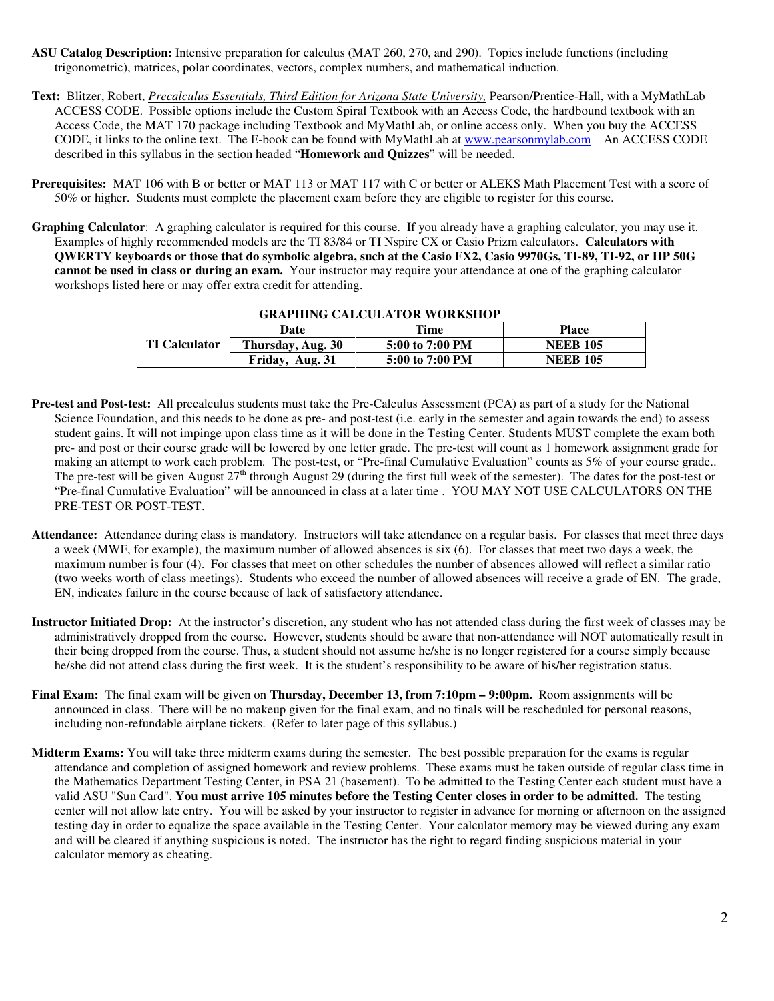- **ASU Catalog Description:** Intensive preparation for calculus (MAT 260, 270, and 290). Topics include functions (including trigonometric), matrices, polar coordinates, vectors, complex numbers, and mathematical induction.
- **Text:** Blitzer, Robert, *Precalculus Essentials, Third Edition for Arizona State University,* Pearson/Prentice-Hall, with a MyMathLab ACCESS CODE. Possible options include the Custom Spiral Textbook with an Access Code, the hardbound textbook with an Access Code, the MAT 170 package including Textbook and MyMathLab, or online access only. When you buy the ACCESS CODE, it links to the online text. The E-book can be found with MyMathLab at www.pearsonmylab.com An ACCESS CODE described in this syllabus in the section headed "**Homework and Quizzes**" will be needed.
- **Prerequisites:** MAT 106 with B or better or MAT 113 or MAT 117 with C or better or ALEKS Math Placement Test with a score of 50% or higher. Students must complete the placement exam before they are eligible to register for this course.
- **Graphing Calculator**: A graphing calculator is required for this course. If you already have a graphing calculator, you may use it. Examples of highly recommended models are the TI 83/84 or TI Nspire CX or Casio Prizm calculators. **Calculators with QWERTY keyboards or those that do symbolic algebra, such at the Casio FX2, Casio 9970Gs, TI-89, TI-92, or HP 50G cannot be used in class or during an exam.** Your instructor may require your attendance at one of the graphing calculator workshops listed here or may offer extra credit for attending.

| GRAFINING CALCOLATOR WORKSHOT |                   |                 |                 |
|-------------------------------|-------------------|-----------------|-----------------|
| <b>TI Calculator</b>          | Date              | Time            | Place           |
|                               | Thursday, Aug. 30 | 5:00 to 7:00 PM | <b>NEEB 105</b> |
|                               | Friday, Aug. 31   | 5:00 to 7:00 PM | <b>NEEB 105</b> |

## **GRAPHING CALCULATOR WORKSHOP**

- **Pre-test and Post-test:** All precalculus students must take the Pre-Calculus Assessment (PCA) as part of a study for the National Science Foundation, and this needs to be done as pre- and post-test (i.e. early in the semester and again towards the end) to assess student gains. It will not impinge upon class time as it will be done in the Testing Center. Students MUST complete the exam both pre- and post or their course grade will be lowered by one letter grade. The pre-test will count as 1 homework assignment grade for making an attempt to work each problem. The post-test, or "Pre-final Cumulative Evaluation" counts as 5% of your course grade.. The pre-test will be given August  $27<sup>th</sup>$  through August 29 (during the first full week of the semester). The dates for the post-test or "Pre-final Cumulative Evaluation" will be announced in class at a later time . YOU MAY NOT USE CALCULATORS ON THE PRE-TEST OR POST-TEST.
- **Attendance:** Attendance during class is mandatory. Instructors will take attendance on a regular basis.For classes that meet three days a week (MWF, for example), the maximum number of allowed absences is six (6). For classes that meet two days a week, the maximum number is four (4). For classes that meet on other schedules the number of absences allowed will reflect a similar ratio (two weeks worth of class meetings). Students who exceed the number of allowed absences will receive a grade of EN. The grade, EN, indicates failure in the course because of lack of satisfactory attendance.
- **Instructor Initiated Drop:** At the instructor's discretion, any student who has not attended class during the first week of classes may be administratively dropped from the course. However, students should be aware that non-attendance will NOT automatically result in their being dropped from the course. Thus, a student should not assume he/she is no longer registered for a course simply because he/she did not attend class during the first week. It is the student's responsibility to be aware of his/her registration status.
- **Final Exam:** The final exam will be given on **Thursday, December 13, from 7:10pm 9:00pm.** Room assignments will be announced in class. There will be no makeup given for the final exam, and no finals will be rescheduled for personal reasons, including non-refundable airplane tickets. (Refer to later page of this syllabus.)
- **Midterm Exams:** You will take three midterm exams during the semester. The best possible preparation for the exams is regular attendance and completion of assigned homework and review problems. These exams must be taken outside of regular class time in the Mathematics Department Testing Center, in PSA 21 (basement). To be admitted to the Testing Center each student must have a valid ASU "Sun Card". **You must arrive 105 minutes before the Testing Center closes in order to be admitted.** The testing center will not allow late entry. You will be asked by your instructor to register in advance for morning or afternoon on the assigned testing day in order to equalize the space available in the Testing Center. Your calculator memory may be viewed during any exam and will be cleared if anything suspicious is noted. The instructor has the right to regard finding suspicious material in your calculator memory as cheating.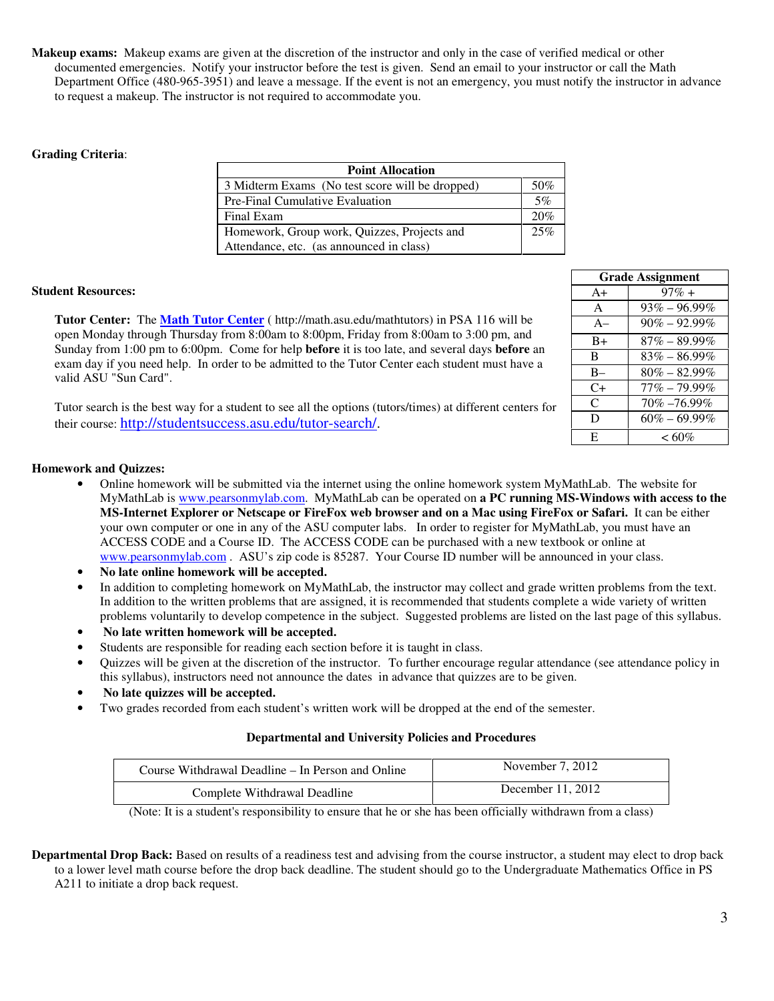**Makeup exams:** Makeup exams are given at the discretion of the instructor and only in the case of verified medical or other documented emergencies. Notify your instructor before the test is given. Send an email to your instructor or call the Math Department Office (480-965-3951) and leave a message. If the event is not an emergency, you must notify the instructor in advance to request a makeup. The instructor is not required to accommodate you.

### **Grading Criteria**:

| <b>Point Allocation</b>                         |     |
|-------------------------------------------------|-----|
| 3 Midterm Exams (No test score will be dropped) | 50% |
| <b>Pre-Final Cumulative Evaluation</b>          | 5%  |
| Final Exam                                      | 20% |
| Homework, Group work, Quizzes, Projects and     | 25% |
| Attendance, etc. (as announced in class)        |     |

#### **Student Resources:**

**Tutor Center:** The **Math Tutor Center** ( http://math.asu.edu/mathtutors) in PSA 116 will be open Monday through Thursday from 8:00am to 8:00pm, Friday from 8:00am to 3:00 pm, and Sunday from 1:00 pm to 6:00pm. Come for help **before** it is too late, and several days **before** an exam day if you need help. In order to be admitted to the Tutor Center each student must have a valid ASU "Sun Card".

Tutor search is the best way for a student to see all the options (tutors/times) at different centers for their course: http://studentsuccess.asu.edu/tutor-search/.

| <b>Grade Assignment</b> |                  |
|-------------------------|------------------|
| $A+$                    | $97\% +$         |
| $\mathsf{A}$            | $93\% - 96.99\%$ |
| $A-$                    | $90\% - 92.99\%$ |
| $B+$                    | $87\% - 89.99\%$ |
| R                       | $83\% - 86.99\%$ |
| $B -$                   | $80\% - 82.99\%$ |
| C+                      | $77\% - 79.99\%$ |
| C                       | 70% -76.99%      |
| D                       | $60\% - 69.99\%$ |
| E                       | $< 60\%$         |

#### **Homework and Quizzes:**

- Online homework will be submitted via the internet using the online homework system MyMathLab. The website for MyMathLab is www.pearsonmylab.com. MyMathLab can be operated on **a PC running MS-Windows with access to the MS-Internet Explorer or Netscape or FireFox web browser and on a Mac using FireFox or Safari.** It can be either your own computer or one in any of the ASU computer labs. In order to register for MyMathLab, you must have an ACCESS CODE and a Course ID. The ACCESS CODE can be purchased with a new textbook or online at www.pearsonmylab.com . ASU's zip code is 85287. Your Course ID number will be announced in your class.
- **No late online homework will be accepted.**
- In addition to completing homework on MyMathLab, the instructor may collect and grade written problems from the text. In addition to the written problems that are assigned, it is recommended that students complete a wide variety of written problems voluntarily to develop competence in the subject. Suggested problems are listed on the last page of this syllabus.
- • **No late written homework will be accepted.**
- Students are responsible for reading each section before it is taught in class.
- Quizzes will be given at the discretion of the instructor. To further encourage regular attendance (see attendance policy in this syllabus), instructors need not announce the dates in advance that quizzes are to be given.
- **No late quizzes will be accepted.**
- Two grades recorded from each student's written work will be dropped at the end of the semester.

#### **Departmental and University Policies and Procedures**

| Course Withdrawal Deadline – In Person and Online | November $7, 2012$  |
|---------------------------------------------------|---------------------|
| Complete Withdrawal Deadline                      | December $11, 2012$ |

(Note: It is a student's responsibility to ensure that he or she has been officially withdrawn from a class)

**Departmental Drop Back:** Based on results of a readiness test and advising from the course instructor, a student may elect to drop back to a lower level math course before the drop back deadline. The student should go to the Undergraduate Mathematics Office in PS A211 to initiate a drop back request.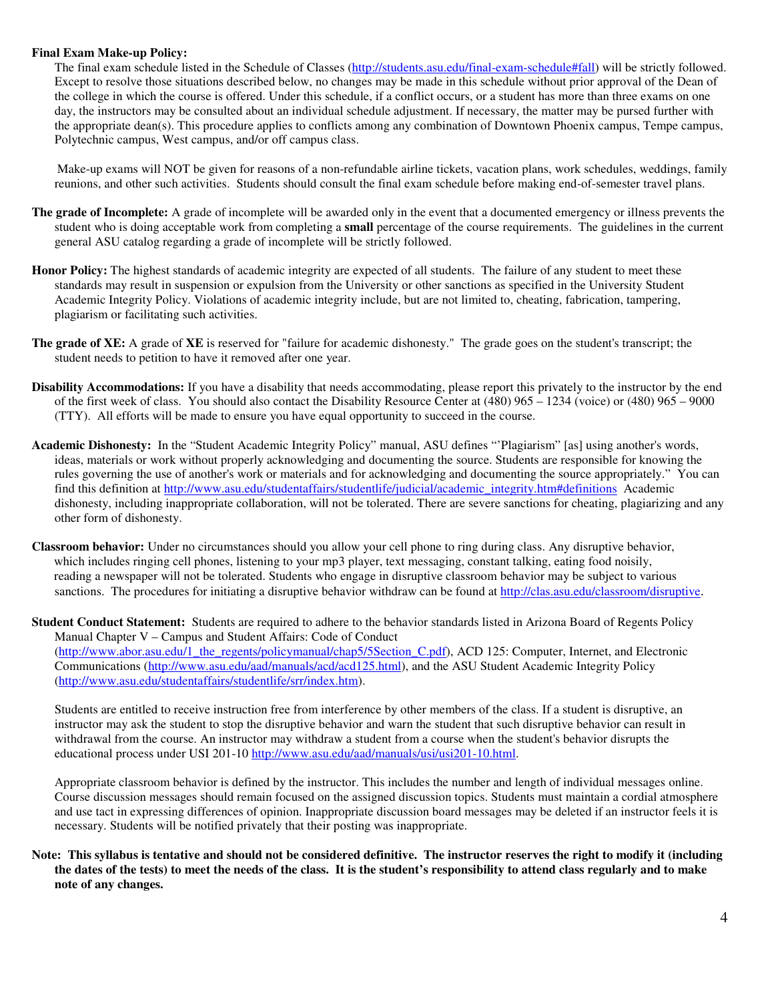#### **Final Exam Make-up Policy:**

The final exam schedule listed in the Schedule of Classes (http://students.asu.edu/final-exam-schedule#fall) will be strictly followed. Except to resolve those situations described below, no changes may be made in this schedule without prior approval of the Dean of the college in which the course is offered. Under this schedule, if a conflict occurs, or a student has more than three exams on one day, the instructors may be consulted about an individual schedule adjustment. If necessary, the matter may be pursed further with the appropriate dean(s). This procedure applies to conflicts among any combination of Downtown Phoenix campus, Tempe campus, Polytechnic campus, West campus, and/or off campus class.

 Make-up exams will NOT be given for reasons of a non-refundable airline tickets, vacation plans, work schedules, weddings, family reunions, and other such activities. Students should consult the final exam schedule before making end-of-semester travel plans.

- **The grade of Incomplete:** A grade of incomplete will be awarded only in the event that a documented emergency or illness prevents the student who is doing acceptable work from completing a **small** percentage of the course requirements. The guidelines in the current general ASU catalog regarding a grade of incomplete will be strictly followed.
- **Honor Policy:** The highest standards of academic integrity are expected of all students. The failure of any student to meet these standards may result in suspension or expulsion from the University or other sanctions as specified in the University Student Academic Integrity Policy. Violations of academic integrity include, but are not limited to, cheating, fabrication, tampering, plagiarism or facilitating such activities.
- **The grade of XE:** A grade of **XE** is reserved for "failure for academic dishonesty." The grade goes on the student's transcript; the student needs to petition to have it removed after one year.
- **Disability Accommodations:** If you have a disability that needs accommodating, please report this privately to the instructor by the end of the first week of class. You should also contact the Disability Resource Center at (480) 965 – 1234 (voice) or (480) 965 – 9000 (TTY). All efforts will be made to ensure you have equal opportunity to succeed in the course.
- **Academic Dishonesty:** In the "Student Academic Integrity Policy" manual, ASU defines "'Plagiarism" [as] using another's words, ideas, materials or work without properly acknowledging and documenting the source. Students are responsible for knowing the rules governing the use of another's work or materials and for acknowledging and documenting the source appropriately." You can find this definition at http://www.asu.edu/studentaffairs/studentlife/judicial/academic\_integrity.htm#definitionsAcademic dishonesty, including inappropriate collaboration, will not be tolerated. There are severe sanctions for cheating, plagiarizing and any other form of dishonesty.
- **Classroom behavior:** Under no circumstances should you allow your cell phone to ring during class. Any disruptive behavior, which includes ringing cell phones, listening to your mp3 player, text messaging, constant talking, eating food noisily, reading a newspaper will not be tolerated. Students who engage in disruptive classroom behavior may be subject to various sanctions. The procedures for initiating a disruptive behavior withdraw can be found at http://clas.asu.edu/classroom/disruptive.
- **Student Conduct Statement:** Students are required to adhere to the behavior standards listed in Arizona Board of Regents Policy Manual Chapter V – Campus and Student Affairs: Code of Conduct (http://www.abor.asu.edu/1\_the\_regents/policymanual/chap5/5Section\_C.pdf), ACD 125: Computer, Internet, and Electronic Communications (http://www.asu.edu/aad/manuals/acd/acd125.html), and the ASU Student Academic Integrity Policy (http://www.asu.edu/studentaffairs/studentlife/srr/index.htm).

Students are entitled to receive instruction free from interference by other members of the class. If a student is disruptive, an instructor may ask the student to stop the disruptive behavior and warn the student that such disruptive behavior can result in withdrawal from the course. An instructor may withdraw a student from a course when the student's behavior disrupts the educational process under USI 201-10 http://www.asu.edu/aad/manuals/usi/usi201-10.html.

Appropriate classroom behavior is defined by the instructor. This includes the number and length of individual messages online. Course discussion messages should remain focused on the assigned discussion topics. Students must maintain a cordial atmosphere and use tact in expressing differences of opinion. Inappropriate discussion board messages may be deleted if an instructor feels it is necessary. Students will be notified privately that their posting was inappropriate.

#### **Note: This syllabus is tentative and should not be considered definitive. The instructor reserves the right to modify it (including the dates of the tests) to meet the needs of the class. It is the student's responsibility to attend class regularly and to make note of any changes.**